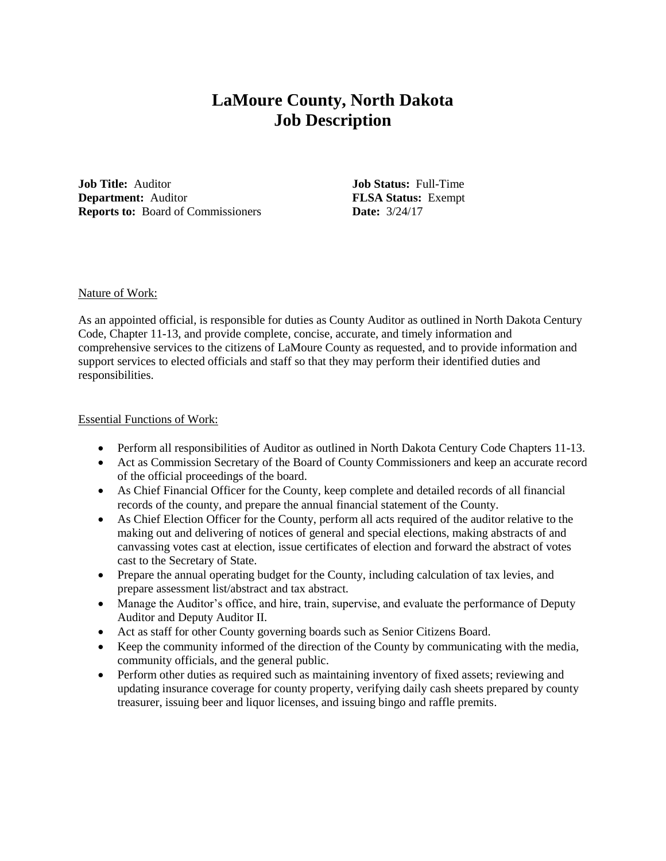# **LaMoure County, North Dakota Job Description**

**Job Title:** Auditor **Job Status:** Full-Time **Department:** Auditor **FLSA Status:** Exempt **Reports to:** Board of Commissioners **Date:**  $3/24/17$ 

#### Nature of Work:

As an appointed official, is responsible for duties as County Auditor as outlined in North Dakota Century Code, Chapter 11-13, and provide complete, concise, accurate, and timely information and comprehensive services to the citizens of LaMoure County as requested, and to provide information and support services to elected officials and staff so that they may perform their identified duties and responsibilities.

### Essential Functions of Work:

- Perform all responsibilities of Auditor as outlined in North Dakota Century Code Chapters 11-13.
- Act as Commission Secretary of the Board of County Commissioners and keep an accurate record of the official proceedings of the board.
- As Chief Financial Officer for the County, keep complete and detailed records of all financial records of the county, and prepare the annual financial statement of the County.
- As Chief Election Officer for the County, perform all acts required of the auditor relative to the making out and delivering of notices of general and special elections, making abstracts of and canvassing votes cast at election, issue certificates of election and forward the abstract of votes cast to the Secretary of State.
- Prepare the annual operating budget for the County, including calculation of tax levies, and prepare assessment list/abstract and tax abstract.
- Manage the Auditor's office, and hire, train, supervise, and evaluate the performance of Deputy Auditor and Deputy Auditor II.
- Act as staff for other County governing boards such as Senior Citizens Board.
- Keep the community informed of the direction of the County by communicating with the media, community officials, and the general public.
- Perform other duties as required such as maintaining inventory of fixed assets; reviewing and updating insurance coverage for county property, verifying daily cash sheets prepared by county treasurer, issuing beer and liquor licenses, and issuing bingo and raffle premits.